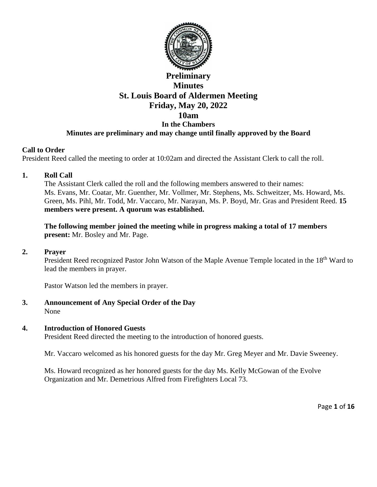

# **Preliminary Minutes St. Louis Board of Aldermen Meeting Friday, May 20, 2022 10am In the Chambers Minutes are preliminary and may change until finally approved by the Board**

## **Call to Order**

President Reed called the meeting to order at 10:02am and directed the Assistant Clerk to call the roll.

## **1. Roll Call**

The Assistant Clerk called the roll and the following members answered to their names: Ms. Evans, Mr. Coatar, Mr. Guenther, Mr. Vollmer, Mr. Stephens, Ms. Schweitzer, Ms. Howard, Ms. Green, Ms. Pihl, Mr. Todd, Mr. Vaccaro, Mr. Narayan, Ms. P. Boyd, Mr. Gras and President Reed. **15 members were present. A quorum was established.** 

**The following member joined the meeting while in progress making a total of 17 members present:** Mr. Bosley and Mr. Page.

#### **2. Prayer**

President Reed recognized Pastor John Watson of the Maple Avenue Temple located in the 18<sup>th</sup> Ward to lead the members in prayer.

Pastor Watson led the members in prayer.

**3. Announcement of Any Special Order of the Day** None

#### **4. Introduction of Honored Guests**

President Reed directed the meeting to the introduction of honored guests.

Mr. Vaccaro welcomed as his honored guests for the day Mr. Greg Meyer and Mr. Davie Sweeney.

Ms. Howard recognized as her honored guests for the day Ms. Kelly McGowan of the Evolve Organization and Mr. Demetrious Alfred from Firefighters Local 73.

Page **1** of **16**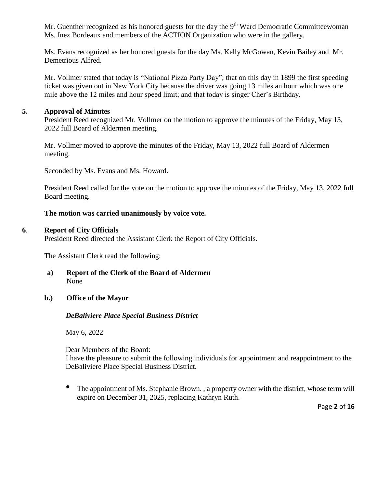Mr. Guenther recognized as his honored guests for the day the  $9<sup>th</sup>$  Ward Democratic Committeewoman Ms. Inez Bordeaux and members of the ACTION Organization who were in the gallery.

Ms. Evans recognized as her honored guests for the day Ms. Kelly McGowan, Kevin Bailey and Mr. Demetrious Alfred.

Mr. Vollmer stated that today is "National Pizza Party Day"; that on this day in 1899 the first speeding ticket was given out in New York City because the driver was going 13 miles an hour which was one mile above the 12 miles and hour speed limit; and that today is singer Cher's Birthday.

## **5. Approval of Minutes**

President Reed recognized Mr. Vollmer on the motion to approve the minutes of the Friday, May 13, 2022 full Board of Aldermen meeting.

Mr. Vollmer moved to approve the minutes of the Friday, May 13, 2022 full Board of Aldermen meeting.

Seconded by Ms. Evans and Ms. Howard.

President Reed called for the vote on the motion to approve the minutes of the Friday, May 13, 2022 full Board meeting.

## **The motion was carried unanimously by voice vote.**

## **6**. **Report of City Officials**

President Reed directed the Assistant Clerk the Report of City Officials.

The Assistant Clerk read the following:

**a) Report of the Clerk of the Board of Aldermen** None

## **b.) Office of the Mayor**

## *DeBaliviere Place Special Business District*

May 6, 2022

Dear Members of the Board:

I have the pleasure to submit the following individuals for appointment and reappointment to the DeBaliviere Place Special Business District.

• The appointment of Ms. Stephanie Brown., a property owner with the district, whose term will expire on December 31, 2025, replacing Kathryn Ruth.

Page **2** of **16**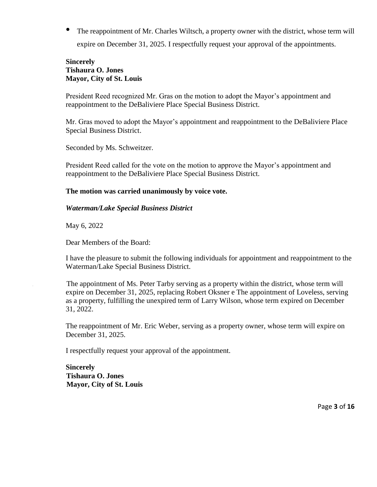• The reappointment of Mr. Charles Wiltsch, a property owner with the district, whose term will expire on December 31, 2025. I respectfully request your approval of the appointments.

## **Sincerely Tishaura O. Jones Mayor, City of St. Louis**

President Reed recognized Mr. Gras on the motion to adopt the Mayor's appointment and reappointment to the DeBaliviere Place Special Business District.

Mr. Gras moved to adopt the Mayor's appointment and reappointment to the DeBaliviere Place Special Business District.

Seconded by Ms. Schweitzer.

President Reed called for the vote on the motion to approve the Mayor's appointment and reappointment to the DeBaliviere Place Special Business District.

#### **The motion was carried unanimously by voice vote.**

#### *Waterman/Lake Special Business District*

May 6, 2022

Dear Members of the Board:

I have the pleasure to submit the following individuals for appointment and reappointment to the Waterman/Lake Special Business District.

The appointment of Ms. Peter Tarby serving as a property within the district, whose term will expire on December 31, 2025, replacing Robert Oksner e The appointment of Loveless, serving as a property, fulfilling the unexpired term of Larry Wilson, whose term expired on December 31, 2022.

The reappointment of Mr. Eric Weber, serving as a property owner, whose term will expire on December 31, 2025.

I respectfully request your approval of the appointment.

**Sincerely Tishaura O. Jones Mayor, City of St. Louis**

Page **3** of **16**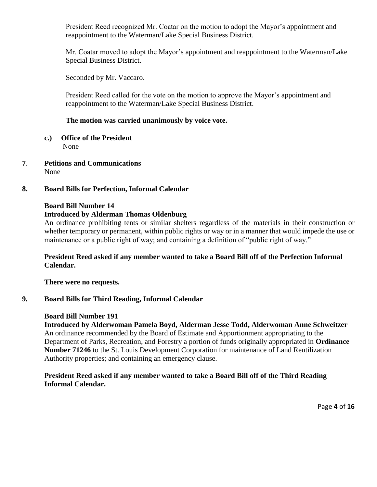President Reed recognized Mr. Coatar on the motion to adopt the Mayor's appointment and reappointment to the Waterman/Lake Special Business District.

Mr. Coatar moved to adopt the Mayor's appointment and reappointment to the Waterman/Lake Special Business District.

Seconded by Mr. Vaccaro.

President Reed called for the vote on the motion to approve the Mayor's appointment and reappointment to the Waterman/Lake Special Business District.

## **The motion was carried unanimously by voice vote.**

- **c.) Office of the President** None
- **7**. **Petitions and Communications** None

#### **8. Board Bills for Perfection, Informal Calendar**

#### **Board Bill Number 14**

## **Introduced by Alderman Thomas Oldenburg**

An ordinance prohibiting tents or similar shelters regardless of the materials in their construction or whether temporary or permanent, within public rights or way or in a manner that would impede the use or maintenance or a public right of way; and containing a definition of "public right of way."

## **President Reed asked if any member wanted to take a Board Bill off of the Perfection Informal Calendar.**

**There were no requests.** 

## **9***.* **Board Bills for Third Reading, Informal Calendar**

#### **Board Bill Number 191**

**Introduced by Alderwoman Pamela Boyd, Alderman Jesse Todd, Alderwoman Anne Schweitzer**  An ordinance recommended by the Board of Estimate and Apportionment appropriating to the Department of Parks, Recreation, and Forestry a portion of funds originally appropriated in **Ordinance Number 71246** to the St. Louis Development Corporation for maintenance of Land Reutilization Authority properties; and containing an emergency clause.

## **President Reed asked if any member wanted to take a Board Bill off of the Third Reading Informal Calendar.**

Page **4** of **16**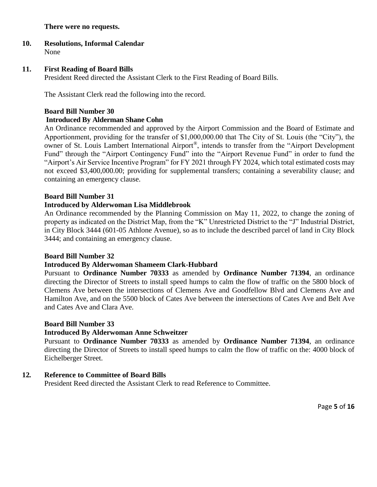### **There were no requests.**

#### **10. Resolutions, Informal Calendar** None

## **11. First Reading of Board Bills**

President Reed directed the Assistant Clerk to the First Reading of Board Bills.

The Assistant Clerk read the following into the record.

# **Board Bill Number 30 Introduced By Alderman Shane Cohn**

An Ordinance recommended and approved by the Airport Commission and the Board of Estimate and Apportionment, providing for the transfer of \$1,000,000.00 that The City of St. Louis (the "City"), the owner of St. Louis Lambert International Airport®, intends to transfer from the "Airport Development Fund" through the "Airport Contingency Fund" into the "Airport Revenue Fund" in order to fund the "Airport's Air Service Incentive Program" for FY 2021 through FY 2024, which total estimated costs may not exceed \$3,400,000.00; providing for supplemental transfers; containing a severability clause; and containing an emergency clause.

## **Board Bill Number 31**

## **Introduced by Alderwoman Lisa Middlebrook**

An Ordinance recommended by the Planning Commission on May 11, 2022, to change the zoning of property as indicated on the District Map, from the "K" Unrestricted District to the "J" Industrial District, in City Block 3444 (601-05 Athlone Avenue), so as to include the described parcel of land in City Block 3444; and containing an emergency clause.

#### **Board Bill Number 32**

#### **Introduced By Alderwoman Shameem Clark-Hubbard**

Pursuant to **Ordinance Number 70333** as amended by **Ordinance Number 71394**, an ordinance directing the Director of Streets to install speed humps to calm the flow of traffic on the 5800 block of Clemens Ave between the intersections of Clemens Ave and Goodfellow Blvd and Clemens Ave and Hamilton Ave, and on the 5500 block of Cates Ave between the intersections of Cates Ave and Belt Ave and Cates Ave and Clara Ave.

#### **Board Bill Number 33**

#### **Introduced By Alderwoman Anne Schweitzer**

Pursuant to **Ordinance Number 70333** as amended by **Ordinance Number 71394**, an ordinance directing the Director of Streets to install speed humps to calm the flow of traffic on the: 4000 block of Eichelberger Street.

## **12***.* **Reference to Committee of Board Bills**

President Reed directed the Assistant Clerk to read Reference to Committee.

Page **5** of **16**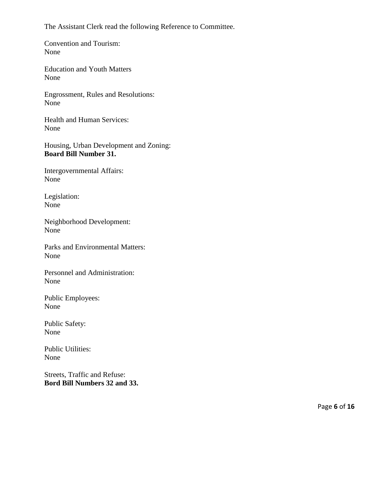The Assistant Clerk read the following Reference to Committee.

Convention and Tourism: None

Education and Youth Matters None

Engrossment, Rules and Resolutions: None

Health and Human Services: None

Housing, Urban Development and Zoning: **Board Bill Number 31.** 

Intergovernmental Affairs: None

Legislation: None

Neighborhood Development: None

Parks and Environmental Matters: None

Personnel and Administration: None

Public Employees: None

Public Safety: None

Public Utilities: None

Streets, Traffic and Refuse: **Bord Bill Numbers 32 and 33.**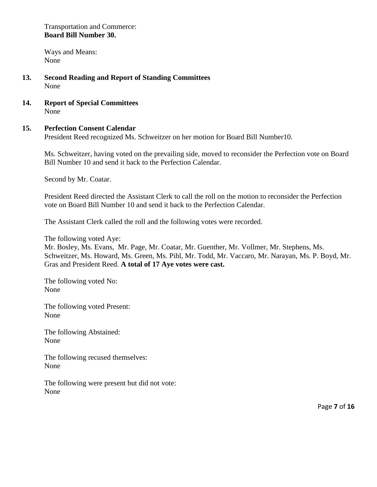Transportation and Commerce: **Board Bill Number 30.** 

Ways and Means: None

- **13. Second Reading and Report of Standing Committees** None
- **14. Report of Special Committees** None

## **15. Perfection Consent Calendar**

President Reed recognized Ms. Schweitzer on her motion for Board Bill Number10.

Ms. Schweitzer, having voted on the prevailing side, moved to reconsider the Perfection vote on Board Bill Number 10 and send it back to the Perfection Calendar.

Second by Mr. Coatar.

President Reed directed the Assistant Clerk to call the roll on the motion to reconsider the Perfection vote on Board Bill Number 10 and send it back to the Perfection Calendar.

The Assistant Clerk called the roll and the following votes were recorded.

The following voted Aye:

Mr. Bosley, Ms. Evans, Mr. Page, Mr. Coatar, Mr. Guenther, Mr. Vollmer, Mr. Stephens, Ms. Schweitzer, Ms. Howard, Ms. Green, Ms. Pihl, Mr. Todd, Mr. Vaccaro, Mr. Narayan, Ms. P. Boyd, Mr. Gras and President Reed. **A total of 17 Aye votes were cast.** 

The following voted No: None

The following voted Present: None

The following Abstained: None

The following recused themselves: None

The following were present but did not vote: None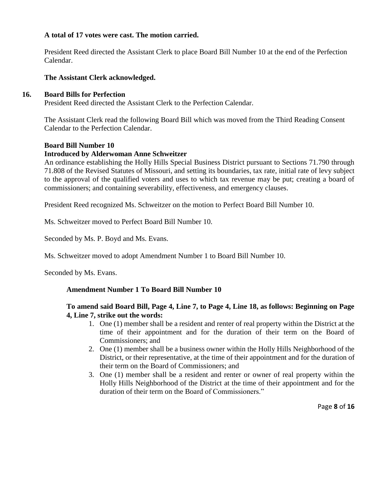## **A total of 17 votes were cast. The motion carried.**

President Reed directed the Assistant Clerk to place Board Bill Number 10 at the end of the Perfection Calendar.

### **The Assistant Clerk acknowledged.**

#### **16. Board Bills for Perfection**

President Reed directed the Assistant Clerk to the Perfection Calendar.

The Assistant Clerk read the following Board Bill which was moved from the Third Reading Consent Calendar to the Perfection Calendar.

#### **Board Bill Number 10**

#### **Introduced by Alderwoman Anne Schweitzer**

An ordinance establishing the Holly Hills Special Business District pursuant to Sections 71.790 through 71.808 of the Revised Statutes of Missouri, and setting its boundaries, tax rate, initial rate of levy subject to the approval of the qualified voters and uses to which tax revenue may be put; creating a board of commissioners; and containing severability, effectiveness, and emergency clauses.

President Reed recognized Ms. Schweitzer on the motion to Perfect Board Bill Number 10.

Ms. Schweitzer moved to Perfect Board Bill Number 10.

Seconded by Ms. P. Boyd and Ms. Evans.

Ms. Schweitzer moved to adopt Amendment Number 1 to Board Bill Number 10.

Seconded by Ms. Evans.

#### **Amendment Number 1 To Board Bill Number 10**

## **To amend said Board Bill, Page 4, Line 7, to Page 4, Line 18, as follows: Beginning on Page 4, Line 7, strike out the words:**

- 1. One (1) member shall be a resident and renter of real property within the District at the time of their appointment and for the duration of their term on the Board of Commissioners; and
- 2. One (1) member shall be a business owner within the Holly Hills Neighborhood of the District, or their representative, at the time of their appointment and for the duration of their term on the Board of Commissioners; and
- 3. One (1) member shall be a resident and renter or owner of real property within the Holly Hills Neighborhood of the District at the time of their appointment and for the duration of their term on the Board of Commissioners."

Page **8** of **16**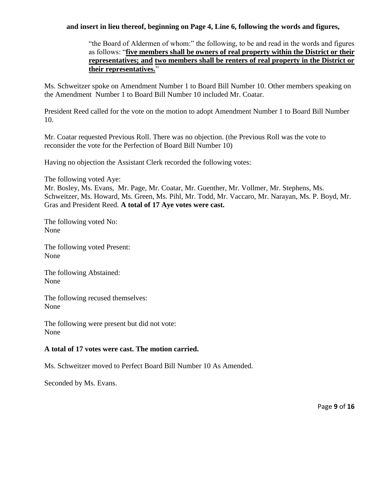## **and insert in lieu thereof, beginning on Page 4, Line 6, following the words and figures,**

"the Board of Aldermen of whom:" the following, to be and read in the words and figures as follows: "**five members shall be owners of real property within the District or their representatives; and two members shall be renters of real property in the District or their representatives.**"

Ms. Schweitzer spoke on Amendment Number 1 to Board Bill Number 10. Other members speaking on the Amendment Number 1 to Board Bill Number 10 included Mr. Coatar.

President Reed called for the vote on the motion to adopt Amendment Number 1 to Board Bill Number 10.

Mr. Coatar requested Previous Roll. There was no objection. (the Previous Roll was the vote to reconsider the vote for the Perfection of Board Bill Number 10)

Having no objection the Assistant Clerk recorded the following votes:

The following voted Aye:

Mr. Bosley, Ms. Evans, Mr. Page, Mr. Coatar, Mr. Guenther, Mr. Vollmer, Mr. Stephens, Ms. Schweitzer, Ms. Howard, Ms. Green, Ms. Pihl, Mr. Todd, Mr. Vaccaro, Mr. Narayan, Ms. P. Boyd, Mr. Gras and President Reed. **A total of 17 Aye votes were cast.** 

The following voted No: None

The following voted Present: None

The following Abstained: None

The following recused themselves: None

The following were present but did not vote: None

### **A total of 17 votes were cast. The motion carried.**

Ms. Schweitzer moved to Perfect Board Bill Number 10 As Amended.

Seconded by Ms. Evans.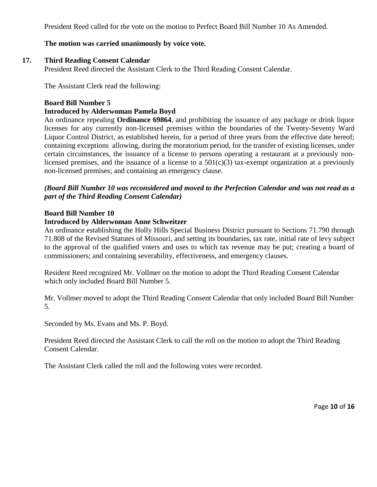President Reed called for the vote on the motion to Perfect Board Bill Number 10 As Amended.

## **The motion was carried unanimously by voice vote.**

## **17. Third Reading Consent Calendar**

President Reed directed the Assistant Clerk to the Third Reading Consent Calendar.

The Assistant Clerk read the following:

### **Board Bill Number 5**

## **Introduced by Alderwoman Pamela Boyd**

An ordinance repealing **Ordinance 69864**, and prohibiting the issuance of any package or drink liquor licenses for any currently non-licensed premises within the boundaries of the Twenty-Seventy Ward Liquor Control District, as established herein, for a period of three years from the effective date hereof; containing exceptions allowing, during the moratorium period, for the transfer of existing licenses, under certain circumstances, the issuance of a license to persons operating a restaurant at a previously nonlicensed premises, and the issuance of a license to a  $501(c)(3)$  tax-exempt organization at a previously non-licensed premises; and containing an emergency clause.

## *(Board Bill Number 10 was reconsidered and moved to the Perfection Calendar and was not read as a part of the Third Reading Consent Calendar)*

## **Board Bill Number 10**

#### **Introduced by Alderwoman Anne Schweitzer**

An ordinance establishing the Holly Hills Special Business District pursuant to Sections 71.790 through 71.808 of the Revised Statutes of Missouri, and setting its boundaries, tax rate, initial rate of levy subject to the approval of the qualified voters and uses to which tax revenue may be put; creating a board of commissioners; and containing severability, effectiveness, and emergency clauses.

Resident Reed recognized Mr. Vollmer on the motion to adopt the Third Reading Consent Calendar which only included Board Bill Number 5.

Mr. Vollmer moved to adopt the Third Reading Consent Calendar that only included Board Bill Number 5.

Seconded by Ms. Evans and Ms. P. Boyd.

President Reed directed the Assistant Clerk to call the roll on the motion to adopt the Third Reading Consent Calendar.

The Assistant Clerk called the roll and the following votes were recorded.

Page **10** of **16**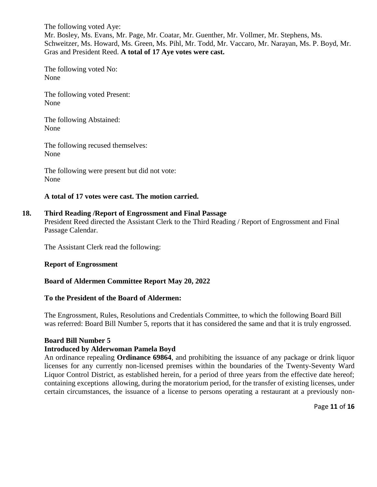The following voted Aye: Mr. Bosley, Ms. Evans, Mr. Page, Mr. Coatar, Mr. Guenther, Mr. Vollmer, Mr. Stephens, Ms. Schweitzer, Ms. Howard, Ms. Green, Ms. Pihl, Mr. Todd, Mr. Vaccaro, Mr. Narayan, Ms. P. Boyd, Mr. Gras and President Reed. **A total of 17 Aye votes were cast.** 

The following voted No: None

The following voted Present: None

The following Abstained: None

The following recused themselves: None

The following were present but did not vote: None

#### **A total of 17 votes were cast. The motion carried.**

#### **18. Third Reading /Report of Engrossment and Final Passage**

President Reed directed the Assistant Clerk to the Third Reading / Report of Engrossment and Final Passage Calendar.

The Assistant Clerk read the following:

#### **Report of Engrossment**

#### **Board of Aldermen Committee Report May 20, 2022**

#### **To the President of the Board of Aldermen:**

The Engrossment, Rules, Resolutions and Credentials Committee, to which the following Board Bill was referred: Board Bill Number 5, reports that it has considered the same and that it is truly engrossed.

#### **Board Bill Number 5**

#### **Introduced by Alderwoman Pamela Boyd**

An ordinance repealing **Ordinance 69864**, and prohibiting the issuance of any package or drink liquor licenses for any currently non-licensed premises within the boundaries of the Twenty-Seventy Ward Liquor Control District, as established herein, for a period of three years from the effective date hereof; containing exceptions allowing, during the moratorium period, for the transfer of existing licenses, under certain circumstances, the issuance of a license to persons operating a restaurant at a previously non-

Page **11** of **16**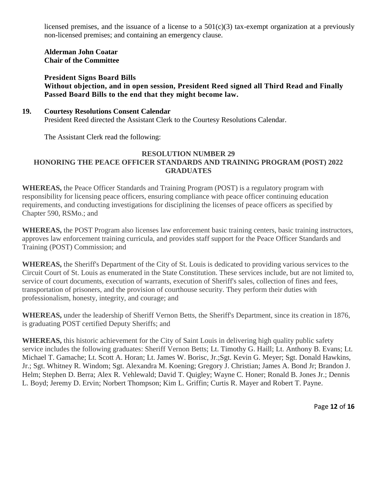licensed premises, and the issuance of a license to a  $501(c)(3)$  tax-exempt organization at a previously non-licensed premises; and containing an emergency clause.

**Alderman John Coatar Chair of the Committee** 

**President Signs Board Bills Without objection, and in open session, President Reed signed all Third Read and Finally Passed Board Bills to the end that they might become law.** 

**19. Courtesy Resolutions Consent Calendar**  President Reed directed the Assistant Clerk to the Courtesy Resolutions Calendar.

The Assistant Clerk read the following:

## **RESOLUTION NUMBER 29 HONORING THE PEACE OFFICER STANDARDS AND TRAINING PROGRAM (POST) 2022 GRADUATES**

**WHEREAS,** the Peace Officer Standards and Training Program (POST) is a regulatory program with responsibility for licensing peace officers, ensuring compliance with peace officer continuing education requirements, and conducting investigations for disciplining the licenses of peace officers as specified by Chapter 590, RSMo.; and

**WHEREAS,** the POST Program also licenses law enforcement basic training centers, basic training instructors, approves law enforcement training curricula, and provides staff support for the Peace Officer Standards and Training (POST) Commission; and

**WHEREAS,** the Sheriff's Department of the City of St. Louis is dedicated to providing various services to the Circuit Court of St. Louis as enumerated in the State Constitution. These services include, but are not limited to, service of court documents, execution of warrants, execution of Sheriff's sales, collection of fines and fees, transportation of prisoners, and the provision of courthouse security. They perform their duties with professionalism, honesty, integrity, and courage; and

**WHEREAS,** under the leadership of Sheriff Vernon Betts, the Sheriff's Department, since its creation in 1876, is graduating POST certified Deputy Sheriffs; and

**WHEREAS,** this historic achievement for the City of Saint Louis in delivering high quality public safety service includes the following graduates: Sheriff Vernon Betts; Lt. Timothy G. Haill; Lt. Anthony B. Evans; Lt. Michael T. Gamache; Lt. Scott A. Horan; Lt. James W. Borisc, Jr.;Sgt. Kevin G. Meyer; Sgt. Donald Hawkins, Jr.; Sgt. Whitney R. Windom; Sgt. Alexandra M. Koening; Gregory J. Christian; James A. Bond Jr; Brandon J. Helm; Stephen D. Berra; Alex R. Vehlewald; David T. Quigley; Wayne C. Honer; Ronald B. Jones Jr.; Dennis L. Boyd; Jeremy D. Ervin; Norbert Thompson; Kim L. Griffin; Curtis R. Mayer and Robert T. Payne.

Page **12** of **16**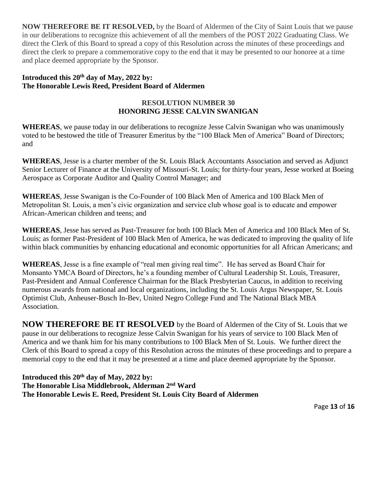**NOW THEREFORE BE IT RESOLVED,** by the Board of Aldermen of the City of Saint Louis that we pause in our deliberations to recognize this achievement of all the members of the POST 2022 Graduating Class. We direct the Clerk of this Board to spread a copy of this Resolution across the minutes of these proceedings and direct the clerk to prepare a commemorative copy to the end that it may be presented to our honoree at a time and place deemed appropriate by the Sponsor.

## **Introduced this 20th day of May, 2022 by: The Honorable Lewis Reed, President Board of Aldermen**

## **RESOLUTION NUMBER 30 HONORING JESSE CALVIN SWANIGAN**

**WHEREAS**, we pause today in our deliberations to recognize Jesse Calvin Swanigan who was unanimously voted to be bestowed the title of Treasurer Emeritus by the "100 Black Men of America" Board of Directors; and

**WHEREAS**, Jesse is a charter member of the St. Louis Black Accountants Association and served as Adjunct Senior Lecturer of Finance at the University of Missouri-St. Louis; for thirty-four years, Jesse worked at Boeing Aerospace as Corporate Auditor and Quality Control Manager; and

**WHEREAS**, Jesse Swanigan is the Co-Founder of 100 Black Men of America and 100 Black Men of Metropolitan St. Louis, a men's civic organization and service club whose goal is to educate and empower African-American children and teens; and

**WHEREAS**, Jesse has served as Past-Treasurer for both 100 Black Men of America and 100 Black Men of St. Louis; as former Past-President of 100 Black Men of America, he was dedicated to improving the quality of life within black communities by enhancing educational and economic opportunities for all African Americans; and

**WHEREAS**, Jesse is a fine example of "real men giving real time". He has served as Board Chair for Monsanto YMCA Board of Directors, he's a founding member of Cultural Leadership St. Louis, Treasurer, Past-President and Annual Conference Chairman for the Black Presbyterian Caucus, in addition to receiving numerous awards from national and local organizations, including the St. Louis Argus Newspaper, St. Louis Optimist Club, Anheuser-Busch In-Bev, United Negro College Fund and The National Black MBA Association.

**NOW THEREFORE BE IT RESOLVED** by the Board of Aldermen of the City of St. Louis that we pause in our deliberations to recognize Jesse Calvin Swanigan for his years of service to 100 Black Men of America and we thank him for his many contributions to 100 Black Men of St. Louis. We further direct the Clerk of this Board to spread a copy of this Resolution across the minutes of these proceedings and to prepare a memorial copy to the end that it may be presented at a time and place deemed appropriate by the Sponsor.

**Introduced this 20th day of May, 2022 by: The Honorable Lisa Middlebrook, Alderman 2 nd Ward The Honorable Lewis E. Reed, President St. Louis City Board of Aldermen**

Page **13** of **16**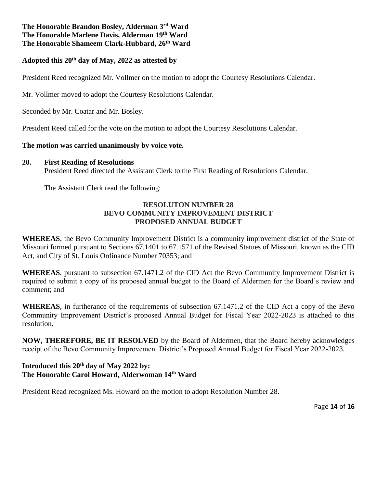## **The Honorable Brandon Bosley, Alderman 3 rd Ward The Honorable Marlene Davis, Alderman 19th Ward The Honorable Shameem Clark-Hubbard, 26th Ward**

## **Adopted this 20th day of May, 2022 as attested by**

President Reed recognized Mr. Vollmer on the motion to adopt the Courtesy Resolutions Calendar.

Mr. Vollmer moved to adopt the Courtesy Resolutions Calendar.

Seconded by Mr. Coatar and Mr. Bosley.

President Reed called for the vote on the motion to adopt the Courtesy Resolutions Calendar.

#### **The motion was carried unanimously by voice vote.**

### **20. First Reading of Resolutions**

President Reed directed the Assistant Clerk to the First Reading of Resolutions Calendar.

The Assistant Clerk read the following:

## **RESOLUTON NUMBER 28 BEVO COMMUNITY IMPROVEMENT DISTRICT PROPOSED ANNUAL BUDGET**

**WHEREAS**, the Bevo Community Improvement District is a community improvement district of the State of Missouri formed pursuant to Sections 67.1401 to 67.1571 of the Revised Statues of Missouri, known as the CID Act, and City of St. Louis Ordinance Number 70353; and

**WHEREAS**, pursuant to subsection 67.1471.2 of the CID Act the Bevo Community Improvement District is required to submit a copy of its proposed annual budget to the Board of Aldermen for the Board's review and comment; and

**WHEREAS**, in furtherance of the requirements of subsection 67.1471.2 of the CID Act a copy of the Bevo Community Improvement District's proposed Annual Budget for Fiscal Year 2022-2023 is attached to this resolution.

**NOW, THEREFORE, BE IT RESOLVED** by the Board of Aldermen, that the Board hereby acknowledges receipt of the Bevo Community Improvement District's Proposed Annual Budget for Fiscal Year 2022-2023.

## **Introduced this 20th day of May 2022 by: The Honorable Carol Howard, Alderwoman 14th Ward**

President Read recognized Ms. Howard on the motion to adopt Resolution Number 28.

Page **14** of **16**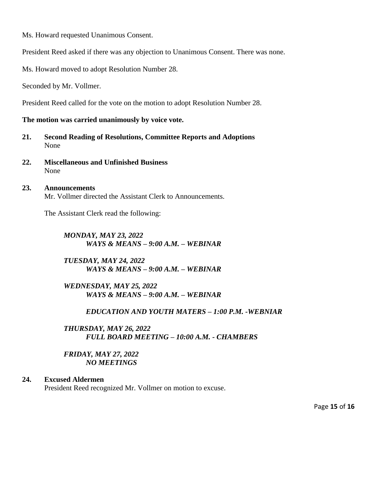Ms. Howard requested Unanimous Consent.

President Reed asked if there was any objection to Unanimous Consent. There was none.

Ms. Howard moved to adopt Resolution Number 28.

Seconded by Mr. Vollmer.

President Reed called for the vote on the motion to adopt Resolution Number 28.

**The motion was carried unanimously by voice vote.** 

- **21. Second Reading of Resolutions, Committee Reports and Adoptions** None
- **22. Miscellaneous and Unfinished Business**  None
- **23. Announcements**  Mr. Vollmer directed the Assistant Clerk to Announcements.

The Assistant Clerk read the following:

*MONDAY, MAY 23, 2022 WAYS & MEANS – 9:00 A.M. – WEBINAR* 

*TUESDAY, MAY 24, 2022 WAYS & MEANS – 9:00 A.M. – WEBINAR*

*WEDNESDAY, MAY 25, 2022 WAYS & MEANS – 9:00 A.M. – WEBINAR* 

*EDUCATION AND YOUTH MATERS – 1:00 P.M. -WEBNIAR* 

*THURSDAY, MAY 26, 2022 FULL BOARD MEETING – 10:00 A.M. - CHAMBERS*

*FRIDAY, MAY 27, 2022 NO MEETINGS*

#### **24. Excused Aldermen**

President Reed recognized Mr. Vollmer on motion to excuse.

Page **15** of **16**